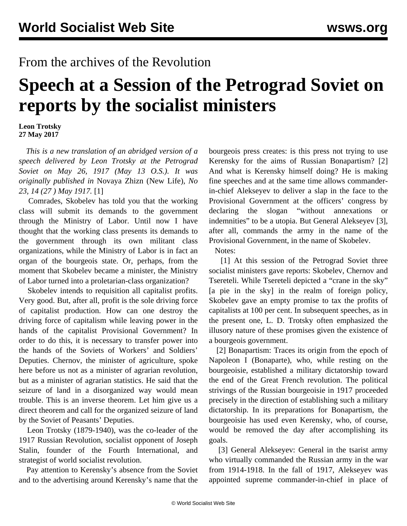## From the archives of the Revolution

## **Speech at a Session of the Petrograd Soviet on reports by the socialist ministers**

## **Leon Trotsky 27 May 2017**

 *This is a new translation of an abridged version of a speech delivered by Leon Trotsky at the Petrograd Soviet on May 26, 1917 (May 13 O.S.). It was originally published in* Novaya Zhizn (New Life)*, No 23, 14 (27 ) May 1917.* [1]

 Comrades, Skobelev has told you that the working class will submit its demands to the government through the Ministry of Labor. Until now I have thought that the working class presents its demands to the government through its own militant class organizations, while the Ministry of Labor is in fact an organ of the bourgeois state. Or, perhaps, from the moment that Skobelev became a minister, the Ministry of Labor turned into a proletarian-class organization?

 Skobelev intends to requisition all capitalist profits. Very good. But, after all, profit is the sole driving force of capitalist production. How can one destroy the driving force of capitalism while leaving power in the hands of the capitalist Provisional Government? In order to do this, it is necessary to transfer power into the hands of the Soviets of Workers' and Soldiers' Deputies. Chernov, the minister of agriculture, spoke here before us not as a minister of agrarian revolution, but as a minister of agrarian statistics. He said that the seizure of land in a disorganized way would mean trouble. This is an inverse theorem. Let him give us a direct theorem and call for the organized seizure of land by the Soviet of Peasants' Deputies.

 Leon Trotsky (1879-1940), was the co-leader of the 1917 Russian Revolution, socialist opponent of Joseph Stalin, founder of the Fourth International, and strategist of world socialist revolution.

 Pay attention to Kerensky's absence from the Soviet and to the advertising around Kerensky's name that the

bourgeois press creates: is this press not trying to use Kerensky for the aims of Russian Bonapartism? [2] And what is Kerensky himself doing? He is making fine speeches and at the same time allows commanderin-chief Alekseyev to deliver a slap in the face to the Provisional Government at the officers' congress by declaring the slogan "without annexations or indemnities" to be a utopia. But General Alekseyev [3], after all, commands the army in the name of the Provisional Government, in the name of Skobelev.

Notes:

 [1] At this session of the Petrograd Soviet three socialist ministers gave reports: Skobelev, Chernov and Tsereteli. While Tsereteli depicted a "crane in the sky" [a pie in the sky] in the realm of foreign policy, Skobelev gave an empty promise to tax the profits of capitalists at 100 per cent. In subsequent speeches, as in the present one, L. D. Trotsky often emphasized the illusory nature of these promises given the existence of a bourgeois government.

 [2] Bonapartism: Traces its origin from the epoch of Napoleon I (Bonaparte), who, while resting on the bourgeoisie, established a military dictatorship toward the end of the Great French revolution. The political strivings of the Russian bourgeoisie in 1917 proceeded precisely in the direction of establishing such a military dictatorship. In its preparations for Bonapartism, the bourgeoisie has used even Kerensky, who, of course, would be removed the day after accomplishing its goals.

 [3] General Alekseyev: General in the tsarist army who virtually commanded the Russian army in the war from 1914-1918. In the fall of 1917, Alekseyev was appointed supreme commander-in-chief in place of